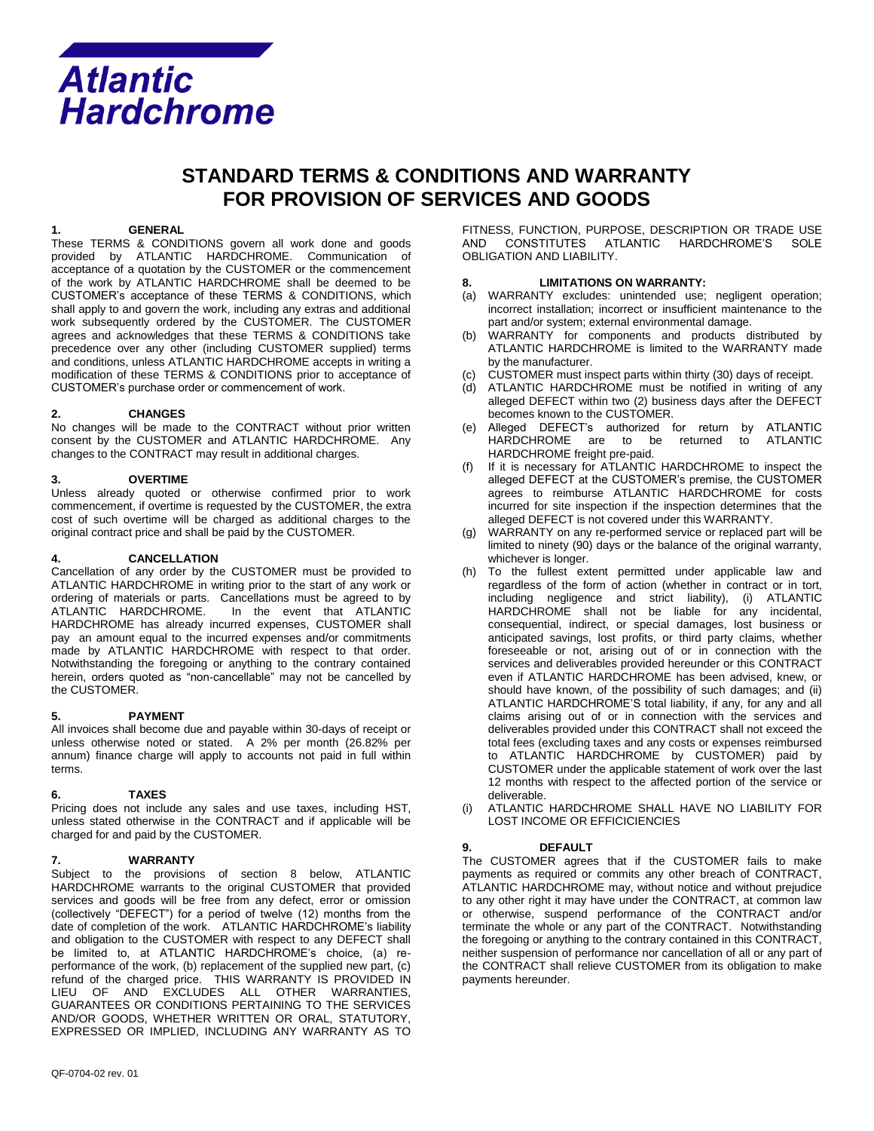

# **STANDARD TERMS & CONDITIONS AND WARRANTY FOR PROVISION OF SERVICES AND GOODS**

#### **1. GENERAL**

These TERMS & CONDITIONS govern all work done and goods provided by ATLANTIC HARDCHROME. Communication of acceptance of a quotation by the CUSTOMER or the commencement of the work by ATLANTIC HARDCHROME shall be deemed to be CUSTOMER's acceptance of these TERMS & CONDITIONS, which shall apply to and govern the work, including any extras and additional work subsequently ordered by the CUSTOMER. The CUSTOMER agrees and acknowledges that these TERMS & CONDITIONS take precedence over any other (including CUSTOMER supplied) terms and conditions, unless ATLANTIC HARDCHROME accepts in writing a modification of these TERMS & CONDITIONS prior to acceptance of CUSTOMER's purchase order or commencement of work.

## **2. CHANGES**

No changes will be made to the CONTRACT without prior written consent by the CUSTOMER and ATLANTIC HARDCHROME. Any changes to the CONTRACT may result in additional charges.

## **3. OVERTIME**

Unless already quoted or otherwise confirmed prior to work commencement, if overtime is requested by the CUSTOMER, the extra cost of such overtime will be charged as additional charges to the original contract price and shall be paid by the CUSTOMER.

## **4. CANCELLATION**

Cancellation of any order by the CUSTOMER must be provided to ATLANTIC HARDCHROME in writing prior to the start of any work or ordering of materials or parts. Cancellations must be agreed to by In the event that ATLANTIC HARDCHROME has already incurred expenses, CUSTOMER shall pay an amount equal to the incurred expenses and/or commitments made by ATLANTIC HARDCHROME with respect to that order. Notwithstanding the foregoing or anything to the contrary contained herein, orders quoted as "non-cancellable" may not be cancelled by the CUSTOMER.

## **5. PAYMENT**

All invoices shall become due and payable within 30-days of receipt or unless otherwise noted or stated. A 2% per month (26.82% per annum) finance charge will apply to accounts not paid in full within terms.

## **6. TAXES**

Pricing does not include any sales and use taxes, including HST, unless stated otherwise in the CONTRACT and if applicable will be charged for and paid by the CUSTOMER.

## **7. WARRANTY**

Subject to the provisions of section 8 below, ATLANTIC HARDCHROME warrants to the original CUSTOMER that provided services and goods will be free from any defect, error or omission (collectively "DEFECT") for a period of twelve (12) months from the date of completion of the work. ATLANTIC HARDCHROME's liability and obligation to the CUSTOMER with respect to any DEFECT shall be limited to, at ATLANTIC HARDCHROME's choice, (a) reperformance of the work, (b) replacement of the supplied new part, (c) refund of the charged price. THIS WARRANTY IS PROVIDED IN LIEU OF AND EXCLUDES ALL OTHER WARRANTIES, GUARANTEES OR CONDITIONS PERTAINING TO THE SERVICES AND/OR GOODS, WHETHER WRITTEN OR ORAL, STATUTORY, EXPRESSED OR IMPLIED, INCLUDING ANY WARRANTY AS TO

FITNESS, FUNCTION, PURPOSE, DESCRIPTION OR TRADE USE AND CONSTITUTES ATLANTIC HARDCHROME'S SOLE OBLIGATION AND LIABILITY.

#### **8. LIMITATIONS ON WARRANTY:**

- (a) WARRANTY excludes: unintended use; negligent operation; incorrect installation; incorrect or insufficient maintenance to the part and/or system; external environmental damage.
- WARRANTY for components and products distributed by ATLANTIC HARDCHROME is limited to the WARRANTY made by the manufacturer.
- CUSTOMER must inspect parts within thirty (30) days of receipt.
- ATLANTIC HARDCHROME must be notified in writing of any alleged DEFECT within two (2) business days after the DEFECT becomes known to the CUSTOMER.
- (e) Alleged DEFECT's authorized for return by ATLANTIC HARDCHROME are to be returned to ATLANTIC HARDCHROME freight pre-paid.
- If it is necessary for ATLANTIC HARDCHROME to inspect the alleged DEFECT at the CUSTOMER's premise, the CUSTOMER agrees to reimburse ATLANTIC HARDCHROME for costs incurred for site inspection if the inspection determines that the alleged DEFECT is not covered under this WARRANTY.
- (g) WARRANTY on any re-performed service or replaced part will be limited to ninety (90) days or the balance of the original warranty, whichever is longer.
- (h) To the fullest extent permitted under applicable law and regardless of the form of action (whether in contract or in tort, including negligence and strict liability), (i) ATLANTIC HARDCHROME shall not be liable for any incidental, consequential, indirect, or special damages, lost business or anticipated savings, lost profits, or third party claims, whether foreseeable or not, arising out of or in connection with the services and deliverables provided hereunder or this CONTRACT even if ATLANTIC HARDCHROME has been advised, knew, or should have known, of the possibility of such damages; and (ii) ATLANTIC HARDCHROME'S total liability, if any, for any and all claims arising out of or in connection with the services and deliverables provided under this CONTRACT shall not exceed the total fees (excluding taxes and any costs or expenses reimbursed to ATLANTIC HARDCHROME by CUSTOMER) paid by CUSTOMER under the applicable statement of work over the last 12 months with respect to the affected portion of the service or deliverable.
- (i) ATLANTIC HARDCHROME SHALL HAVE NO LIABILITY FOR LOST INCOME OR EFFICICIENCIES

## **9. DEFAULT**

The CUSTOMER agrees that if the CUSTOMER fails to make payments as required or commits any other breach of CONTRACT, ATLANTIC HARDCHROME may, without notice and without prejudice to any other right it may have under the CONTRACT, at common law or otherwise, suspend performance of the CONTRACT and/or terminate the whole or any part of the CONTRACT. Notwithstanding the foregoing or anything to the contrary contained in this CONTRACT, neither suspension of performance nor cancellation of all or any part of the CONTRACT shall relieve CUSTOMER from its obligation to make payments hereunder.